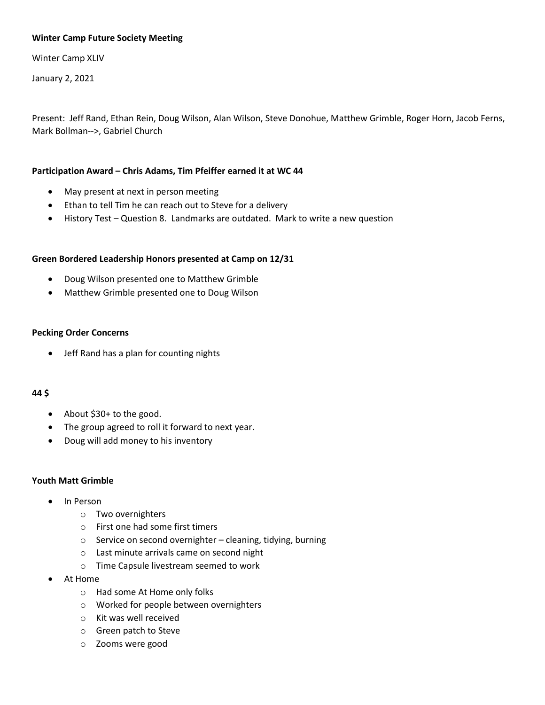# **Winter Camp Future Society Meeting**

Winter Camp XLIV

January 2, 2021

Present: Jeff Rand, Ethan Rein, Doug Wilson, Alan Wilson, Steve Donohue, Matthew Grimble, Roger Horn, Jacob Ferns, Mark Bollman-->, Gabriel Church

# **Participation Award – Chris Adams, Tim Pfeiffer earned it at WC 44**

- May present at next in person meeting
- Ethan to tell Tim he can reach out to Steve for a delivery
- History Test Question 8. Landmarks are outdated. Mark to write a new question

# **Green Bordered Leadership Honors presented at Camp on 12/31**

- Doug Wilson presented one to Matthew Grimble
- Matthew Grimble presented one to Doug Wilson

# **Pecking Order Concerns**

• Jeff Rand has a plan for counting nights

# **44 \$**

- About \$30+ to the good.
- The group agreed to roll it forward to next year.
- Doug will add money to his inventory

# **Youth Matt Grimble**

- In Person
	- o Two overnighters
	- o First one had some first timers
	- $\circ$  Service on second overnighter cleaning, tidying, burning
	- o Last minute arrivals came on second night
	- o Time Capsule livestream seemed to work
- At Home
	- o Had some At Home only folks
	- o Worked for people between overnighters
	- o Kit was well received
	- o Green patch to Steve
	- o Zooms were good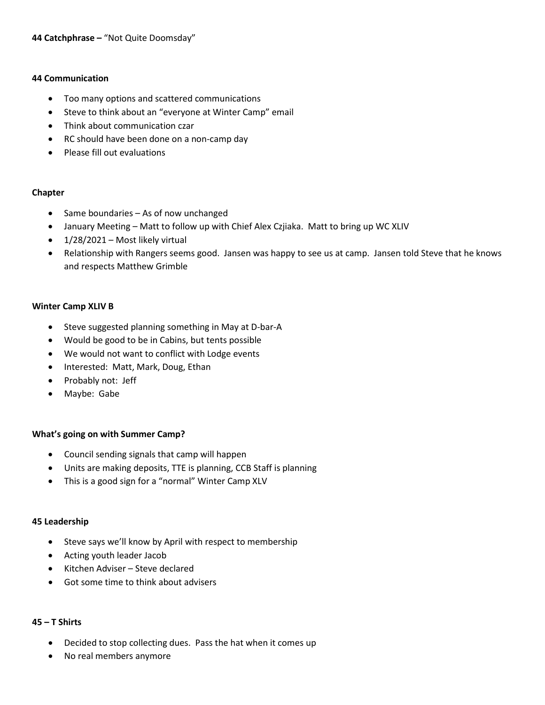# **44 Communication**

- Too many options and scattered communications
- Steve to think about an "everyone at Winter Camp" email
- Think about communication czar
- RC should have been done on a non-camp day
- Please fill out evaluations

# **Chapter**

- Same boundaries As of now unchanged
- January Meeting Matt to follow up with Chief Alex Czjiaka. Matt to bring up WC XLIV
- $\bullet$  1/28/2021 Most likely virtual
- Relationship with Rangers seems good. Jansen was happy to see us at camp. Jansen told Steve that he knows and respects Matthew Grimble

# **Winter Camp XLIV B**

- Steve suggested planning something in May at D-bar-A
- Would be good to be in Cabins, but tents possible
- We would not want to conflict with Lodge events
- Interested: Matt, Mark, Doug, Ethan
- Probably not: Jeff
- Maybe: Gabe

# **What's going on with Summer Camp?**

- Council sending signals that camp will happen
- Units are making deposits, TTE is planning, CCB Staff is planning
- This is a good sign for a "normal" Winter Camp XLV

# **45 Leadership**

- Steve says we'll know by April with respect to membership
- Acting youth leader Jacob
- Kitchen Adviser Steve declared
- Got some time to think about advisers

# **45 – T Shirts**

- Decided to stop collecting dues. Pass the hat when it comes up
- No real members anymore